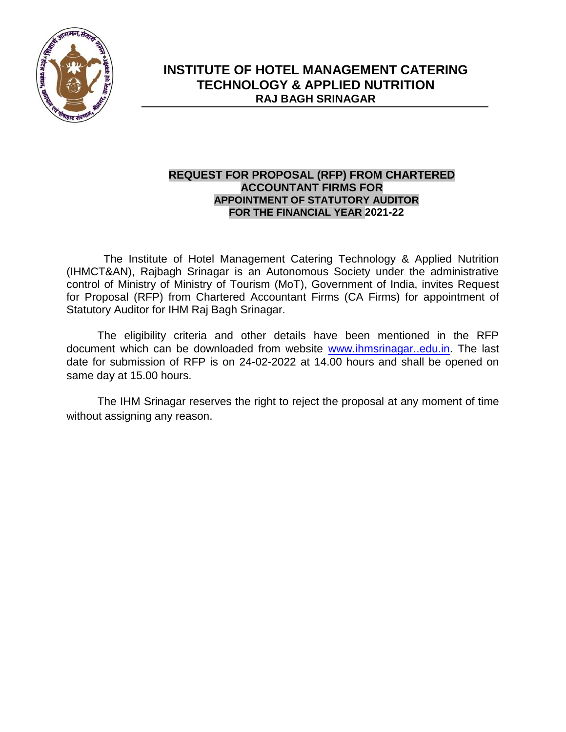

### **REQUEST FOR PROPOSAL (RFP) FROM CHARTERED ACCOUNTANT FIRMS FOR APPOINTMENT OF STATUTORY AUDITOR FOR THE FINANCIAL YEAR 2021-22**

The Institute of Hotel Management Catering Technology & Applied Nutrition (IHMCT&AN), Rajbagh Srinagar is an Autonomous Society under the administrative control of Ministry of Ministry of Tourism (MoT), Government of India, invites Request for Proposal (RFP) from Chartered Accountant Firms (CA Firms) for appointment of Statutory Auditor for IHM Raj Bagh Srinagar.

The eligibility criteria and other details have been mentioned in the RFP document which can be downloaded from website [www.ihmsrinagar..edu.in.](http://www.ihmsrinagar..edu.in/) The last date for submission of RFP is on 24-02-2022 at 14.00 hours and shall be opened on same day at 15.00 hours.

The IHM Srinagar reserves the right to reject the proposal at any moment of time without assigning any reason.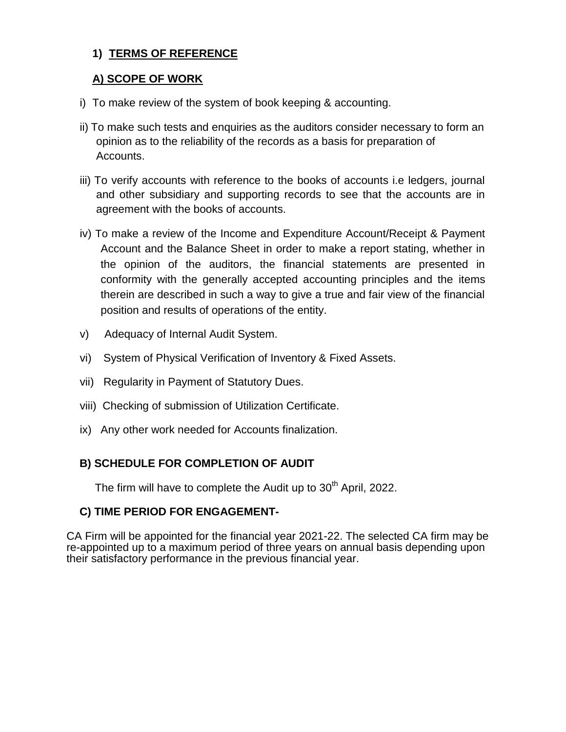## **1) TERMS OF REFERENCE**

### **A) SCOPE OF WORK**

- i) To make review of the system of book keeping & accounting.
- ii) To make such tests and enquiries as the auditors consider necessary to form an opinion as to the reliability of the records as a basis for preparation of Accounts.
- iii) To verify accounts with reference to the books of accounts i.e ledgers, journal and other subsidiary and supporting records to see that the accounts are in agreement with the books of accounts.
- iv) To make a review of the Income and Expenditure Account/Receipt & Payment Account and the Balance Sheet in order to make a report stating, whether in the opinion of the auditors, the financial statements are presented in conformity with the generally accepted accounting principles and the items therein are described in such a way to give a true and fair view of the financial position and results of operations of the entity.
- v) Adequacy of Internal Audit System.
- vi) System of Physical Verification of Inventory & Fixed Assets.
- vii) Regularity in Payment of Statutory Dues.
- viii) Checking of submission of Utilization Certificate.
- ix) Any other work needed for Accounts finalization.

## **B) SCHEDULE FOR COMPLETION OF AUDIT**

The firm will have to complete the Audit up to  $30<sup>th</sup>$  April, 2022.

## **C) TIME PERIOD FOR ENGAGEMENT-**

CA Firm will be appointed for the financial year 2021-22. The selected CA firm may be re-appointed up to a maximum period of three years on annual basis depending upon their satisfactory performance in the previous financial year.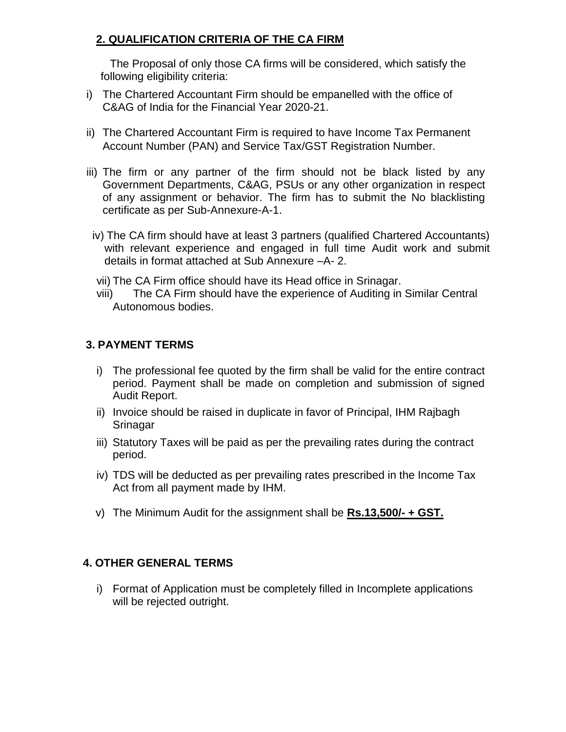# **2. QUALIFICATION CRITERIA OF THE CA FIRM**

The Proposal of only those CA firms will be considered, which satisfy the following eligibility criteria:

- i) The Chartered Accountant Firm should be empanelled with the office of C&AG of India for the Financial Year 2020-21.
- ii) The Chartered Accountant Firm is required to have Income Tax Permanent Account Number (PAN) and Service Tax/GST Registration Number.
- iii) The firm or any partner of the firm should not be black listed by any Government Departments, C&AG, PSUs or any other organization in respect of any assignment or behavior. The firm has to submit the No blacklisting certificate as per Sub-Annexure-A-1.
	- iv) The CA firm should have at least 3 partners (qualified Chartered Accountants) with relevant experience and engaged in full time Audit work and submit details in format attached at Sub Annexure –A- 2.

vii) The CA Firm office should have its Head office in Srinagar.

viii) The CA Firm should have the experience of Auditing in Similar Central Autonomous bodies.

## **3. PAYMENT TERMS**

- i) The professional fee quoted by the firm shall be valid for the entire contract period. Payment shall be made on completion and submission of signed Audit Report.
- ii) Invoice should be raised in duplicate in favor of Principal, IHM Rajbagh **Srinagar**
- iii) Statutory Taxes will be paid as per the prevailing rates during the contract period.
- iv) TDS will be deducted as per prevailing rates prescribed in the Income Tax Act from all payment made by IHM.
- v) The Minimum Audit for the assignment shall be **Rs.13,500/- + GST.**

## **4. OTHER GENERAL TERMS**

i) Format of Application must be completely filled in Incomplete applications will be rejected outright.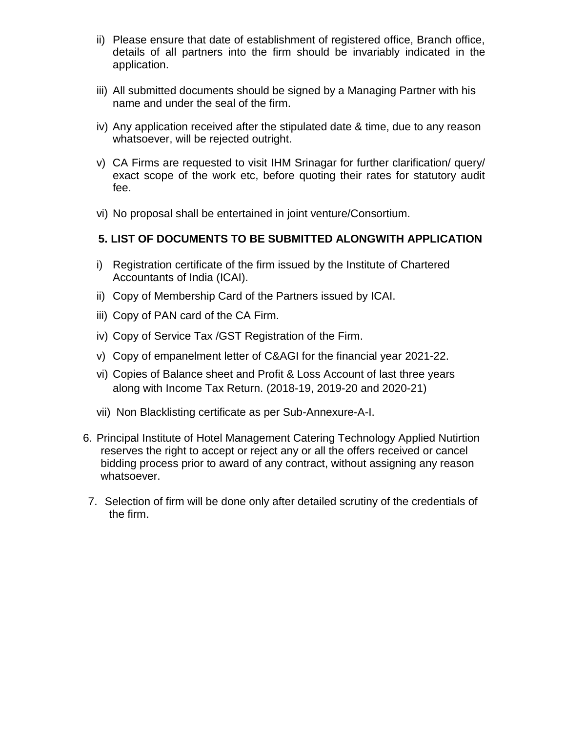- ii) Please ensure that date of establishment of registered office, Branch office, details of all partners into the firm should be invariably indicated in the application.
- iii) All submitted documents should be signed by a Managing Partner with his name and under the seal of the firm.
- iv) Any application received after the stipulated date & time, due to any reason whatsoever, will be rejected outright.
- v) CA Firms are requested to visit IHM Srinagar for further clarification/ query/ exact scope of the work etc, before quoting their rates for statutory audit fee.
- vi) No proposal shall be entertained in joint venture/Consortium.

#### **5. LIST OF DOCUMENTS TO BE SUBMITTED ALONGWITH APPLICATION**

- i) Registration certificate of the firm issued by the Institute of Chartered Accountants of India (ICAI).
- ii) Copy of Membership Card of the Partners issued by ICAI.
- iii) Copy of PAN card of the CA Firm.
- iv) Copy of Service Tax /GST Registration of the Firm.
- v) Copy of empanelment letter of C&AGI for the financial year 2021-22.
- vi) Copies of Balance sheet and Profit & Loss Account of last three years along with Income Tax Return. (2018-19, 2019-20 and 2020-21)
- vii) Non Blacklisting certificate as per Sub-Annexure-A-I.
- 6. Principal Institute of Hotel Management Catering Technology Applied Nutirtion reserves the right to accept or reject any or all the offers received or cancel bidding process prior to award of any contract, without assigning any reason whatsoever.
- 7. Selection of firm will be done only after detailed scrutiny of the credentials of the firm.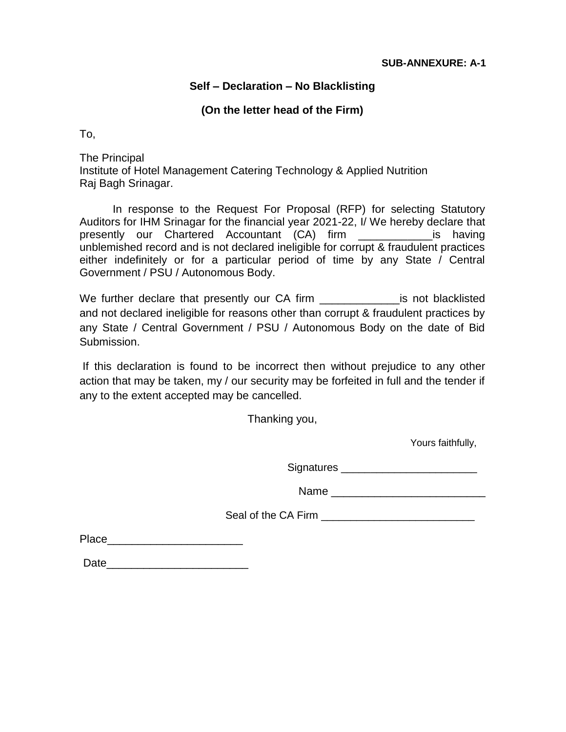### **Self – Declaration – No Blacklisting**

### **(On the letter head of the Firm)**

To,

The Principal Institute of Hotel Management Catering Technology & Applied Nutrition Raj Bagh Srinagar.

In response to the Request For Proposal (RFP) for selecting Statutory Auditors for IHM Srinagar for the financial year 2021-22, I/ We hereby declare that presently our Chartered Accountant (CA) firm \_\_\_\_\_\_\_\_\_\_\_\_is having unblemished record and is not declared ineligible for corrupt & fraudulent practices either indefinitely or for a particular period of time by any State / Central Government / PSU / Autonomous Body.

We further declare that presently our CA firm \_\_\_\_\_\_\_\_\_\_\_\_\_\_\_\_\_\_\_\_is not blacklisted and not declared ineligible for reasons other than corrupt & fraudulent practices by any State / Central Government / PSU / Autonomous Body on the date of Bid Submission.

If this declaration is found to be incorrect then without prejudice to any other action that may be taken, my / our security may be forfeited in full and the tender if any to the extent accepted may be cancelled.

Thanking you,

Yours faithfully,

Signatures \_\_\_\_\_\_\_\_\_\_\_\_\_\_\_\_\_\_\_\_\_\_\_

Name \_\_\_\_\_\_\_\_\_\_\_\_\_\_\_\_\_\_\_\_\_\_\_\_\_

Seal of the CA Firm **EXAMPLE** 

Place\_\_\_\_\_\_\_\_\_\_\_\_\_\_\_\_\_\_\_\_\_\_

Date\_\_\_\_\_\_\_\_\_\_\_\_\_\_\_\_\_\_\_\_\_\_\_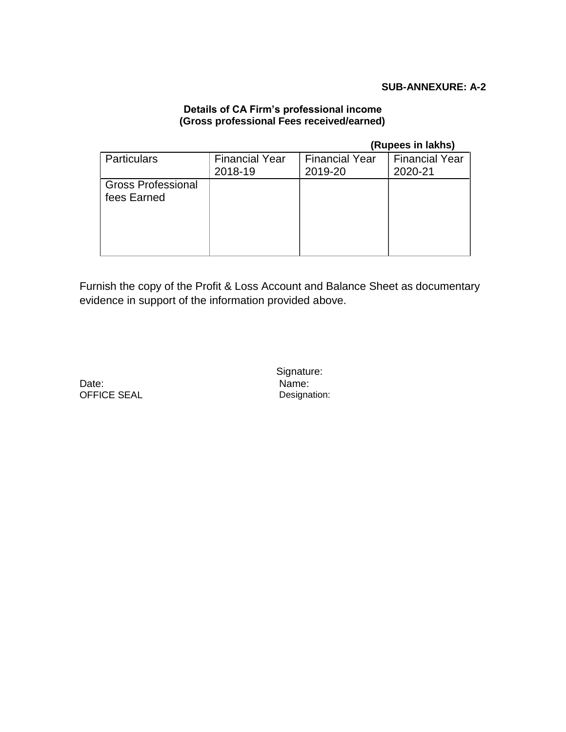#### **SUB-ANNEXURE: A-2**

#### **Details of CA Firm's professional income (Gross professional Fees received/earned)**

#### **(Rupees in lakhs)**

| <b>Particulars</b>                       | <b>Financial Year</b><br>2018-19 | <b>Financial Year</b><br>2019-20 | <b>Financial Year</b><br>2020-21 |
|------------------------------------------|----------------------------------|----------------------------------|----------------------------------|
| <b>Gross Professional</b><br>fees Earned |                                  |                                  |                                  |
|                                          |                                  |                                  |                                  |

Furnish the copy of the Profit & Loss Account and Balance Sheet as documentary evidence in support of the information provided above.

Date: OFFICE SEAL Signature: Name: Designation: